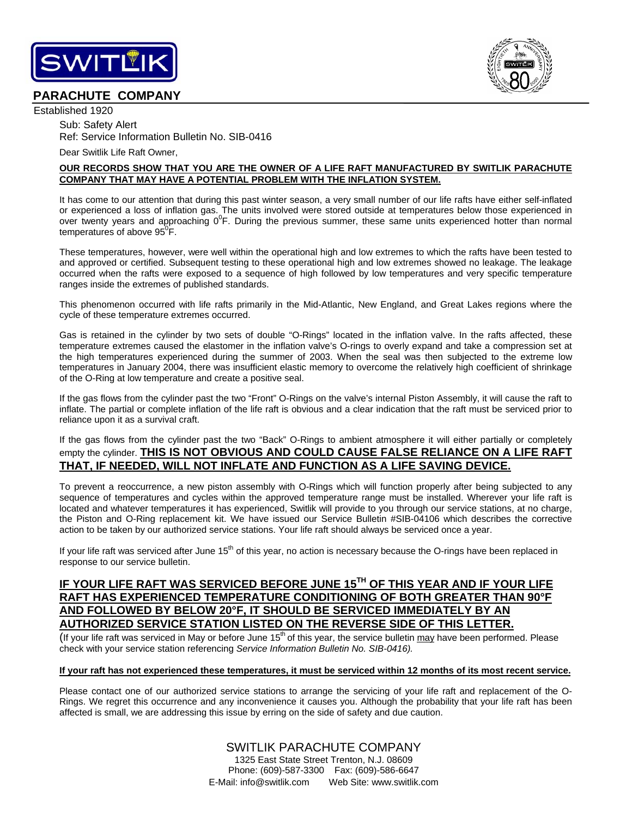

# **PARACHUTE COMPANY**

Established 1920

Sub: Safety Alert Ref: Service Information Bulletin No. SIB-0416

Dear Switlik Life Raft Owner,

## **OUR RECORDS SHOW THAT YOU ARE THE OWNER OF A LIFE RAFT MANUFACTURED BY SWITLIK PARACHUTE COMPANY THAT MAY HAVE A POTENTIAL PROBLEM WITH THE INFLATION SYSTEM.**

It has come to our attention that during this past winter season, a very small number of our life rafts have either self-inflated or experienced a loss of inflation gas. The units involved were stored outside at temperatures below those experienced in over twenty years and approaching  $0^0$ F. During the previous summer, these same units experienced hotter than normal temperatures of above  $95^{\circ}$ F.

These temperatures, however, were well within the operational high and low extremes to which the rafts have been tested to and approved or certified. Subsequent testing to these operational high and low extremes showed no leakage. The leakage occurred when the rafts were exposed to a sequence of high followed by low temperatures and very specific temperature ranges inside the extremes of published standards.

This phenomenon occurred with life rafts primarily in the Mid-Atlantic, New England, and Great Lakes regions where the cycle of these temperature extremes occurred.

Gas is retained in the cylinder by two sets of double "O-Rings" located in the inflation valve. In the rafts affected, these temperature extremes caused the elastomer in the inflation valve's O-rings to overly expand and take a compression set at the high temperatures experienced during the summer of 2003. When the seal was then subjected to the extreme low temperatures in January 2004, there was insufficient elastic memory to overcome the relatively high coefficient of shrinkage of the O-Ring at low temperature and create a positive seal.

If the gas flows from the cylinder past the two "Front" O-Rings on the valve's internal Piston Assembly, it will cause the raft to inflate. The partial or complete inflation of the life raft is obvious and a clear indication that the raft must be serviced prior to reliance upon it as a survival craft.

If the gas flows from the cylinder past the two "Back" O-Rings to ambient atmosphere it will either partially or completely empty the cylinder. **THIS IS NOT OBVIOUS AND COULD CAUSE FALSE RELIANCE ON A LIFE RAFT THAT, IF NEEDED, WILL NOT INFLATE AND FUNCTION AS A LIFE SAVING DEVICE.** 

To prevent a reoccurrence, a new piston assembly with O-Rings which will function properly after being subjected to any sequence of temperatures and cycles within the approved temperature range must be installed. Wherever your life raft is located and whatever temperatures it has experienced, Switlik will provide to you through our service stations, at no charge, the Piston and O-Ring replacement kit. We have issued our Service Bulletin #SIB-04106 which describes the corrective action to be taken by our authorized service stations. Your life raft should always be serviced once a year.

If your life raft was serviced after June 15<sup>th</sup> of this year, no action is necessary because the O-rings have been replaced in response to our service bulletin.

## **IF YOUR LIFE RAFT WAS SERVICED BEFORE JUNE 15TH OF THIS YEAR AND IF YOUR LIFE RAFT HAS EXPERIENCED TEMPERATURE CONDITIONING OF BOTH GREATER THAN 90°F AND FOLLOWED BY BELOW 20°F, IT SHOULD BE SERVICED IMMEDIATELY BY AN AUTHORIZED SERVICE STATION LISTED ON THE REVERSE SIDE OF THIS LETTER.**

(If your life raft was serviced in May or before June  $15<sup>th</sup>$  of this year, the service bulletin may have been performed. Please check with your service station referencing *Service Information Bulletin No. SIB-0416).* 

## **If your raft has not experienced these temperatures, it must be serviced within 12 months of its most recent service.**

Please contact one of our authorized service stations to arrange the servicing of your life raft and replacement of the O-Rings. We regret this occurrence and any inconvenience it causes you. Although the probability that your life raft has been affected is small, we are addressing this issue by erring on the side of safety and due caution.

> SWITLIK PARACHUTE COMPANY 1325 East State Street Trenton, N.J. 08609 Phone: (609)-587-3300 Fax: (609)-586-6647 E-Mail: info@switlik.com Web Site: www.switlik.com